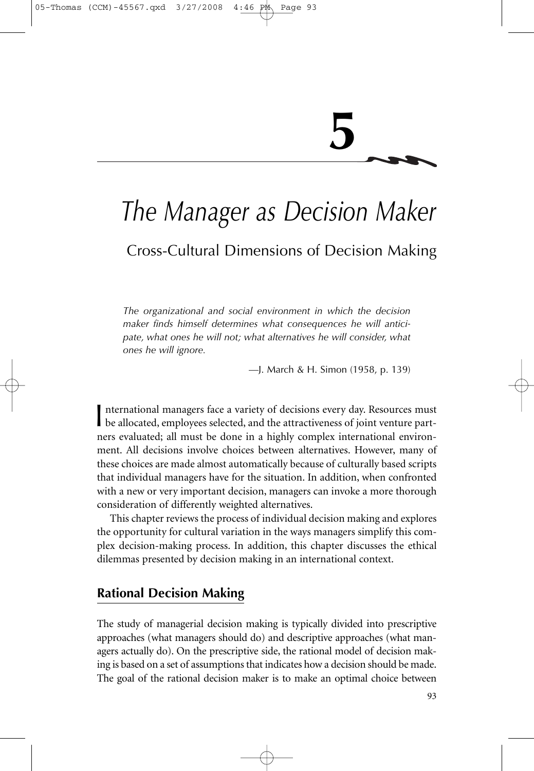# **5**

# *The Manager as Decision Maker*

Cross-Cultural Dimensions of Decision Making

*The organizational and social environment in which the decision maker finds himself determines what consequences he will anticipate, what ones he will not; what alternatives he will consider, what ones he will ignore.*

—J. March & H. Simon (1958, p. 139)

International managers face a variety of decisions every day. Resources must be allocated, employees selected, and the attractiveness of joint venture partnternational managers face a variety of decisions every day. Resources must ners evaluated; all must be done in a highly complex international environment. All decisions involve choices between alternatives. However, many of these choices are made almost automatically because of culturally based scripts that individual managers have for the situation. In addition, when confronted with a new or very important decision, managers can invoke a more thorough consideration of differently weighted alternatives.

This chapter reviews the process of individual decision making and explores the opportunity for cultural variation in the ways managers simplify this complex decision-making process. In addition, this chapter discusses the ethical dilemmas presented by decision making in an international context.

# **Rational Decision Making**

The study of managerial decision making is typically divided into prescriptive approaches (what managers should do) and descriptive approaches (what managers actually do). On the prescriptive side, the rational model of decision making is based on a set of assumptions that indicates how a decision should be made. The goal of the rational decision maker is to make an optimal choice between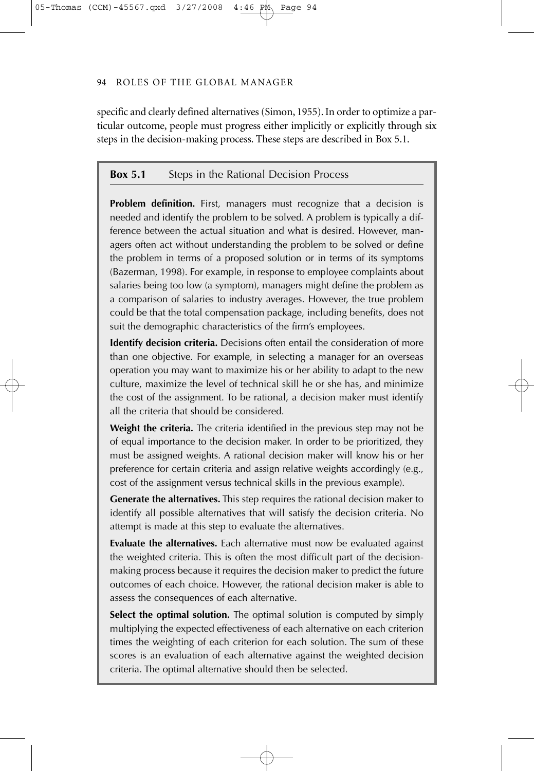specific and clearly defined alternatives (Simon, 1955). In order to optimize a particular outcome, people must progress either implicitly or explicitly through six steps in the decision-making process. These steps are described in Box 5.1.

#### **Box 5.1** Steps in the Rational Decision Process

**Problem definition.** First, managers must recognize that a decision is needed and identify the problem to be solved. A problem is typically a difference between the actual situation and what is desired. However, managers often act without understanding the problem to be solved or define the problem in terms of a proposed solution or in terms of its symptoms (Bazerman, 1998). For example, in response to employee complaints about salaries being too low (a symptom), managers might define the problem as a comparison of salaries to industry averages. However, the true problem could be that the total compensation package, including benefits, does not suit the demographic characteristics of the firm's employees.

**Identify decision criteria.** Decisions often entail the consideration of more than one objective. For example, in selecting a manager for an overseas operation you may want to maximize his or her ability to adapt to the new culture, maximize the level of technical skill he or she has, and minimize the cost of the assignment. To be rational, a decision maker must identify all the criteria that should be considered.

**Weight the criteria.** The criteria identified in the previous step may not be of equal importance to the decision maker. In order to be prioritized, they must be assigned weights. A rational decision maker will know his or her preference for certain criteria and assign relative weights accordingly (e.g., cost of the assignment versus technical skills in the previous example).

**Generate the alternatives.** This step requires the rational decision maker to identify all possible alternatives that will satisfy the decision criteria. No attempt is made at this step to evaluate the alternatives.

**Evaluate the alternatives.** Each alternative must now be evaluated against the weighted criteria. This is often the most difficult part of the decisionmaking process because it requires the decision maker to predict the future outcomes of each choice. However, the rational decision maker is able to assess the consequences of each alternative.

**Select the optimal solution.** The optimal solution is computed by simply multiplying the expected effectiveness of each alternative on each criterion times the weighting of each criterion for each solution. The sum of these scores is an evaluation of each alternative against the weighted decision criteria. The optimal alternative should then be selected.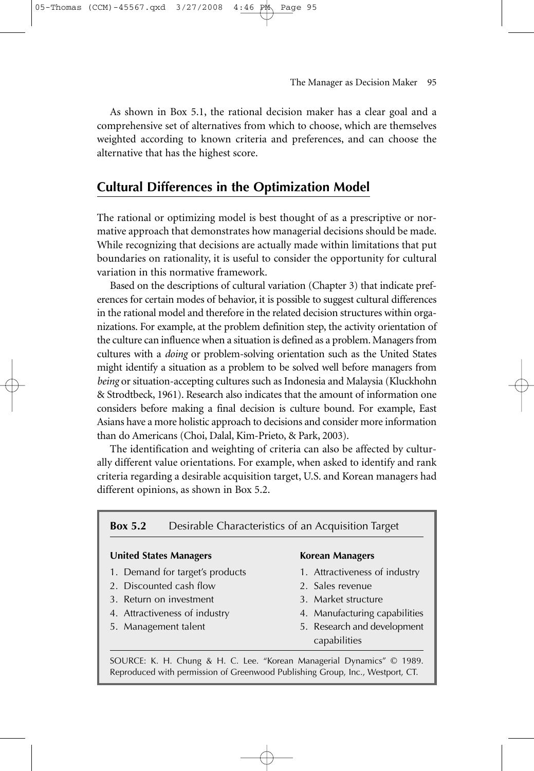As shown in Box 5.1, the rational decision maker has a clear goal and a comprehensive set of alternatives from which to choose, which are themselves weighted according to known criteria and preferences, and can choose the alternative that has the highest score.

# **Cultural Differences in the Optimization Model**

The rational or optimizing model is best thought of as a prescriptive or normative approach that demonstrates how managerial decisions should be made. While recognizing that decisions are actually made within limitations that put boundaries on rationality, it is useful to consider the opportunity for cultural variation in this normative framework.

Based on the descriptions of cultural variation (Chapter 3) that indicate preferences for certain modes of behavior, it is possible to suggest cultural differences in the rational model and therefore in the related decision structures within organizations. For example, at the problem definition step, the activity orientation of the culture can influence when a situation is defined as a problem. Managers from cultures with a *doing* or problem-solving orientation such as the United States might identify a situation as a problem to be solved well before managers from *being* or situation-accepting cultures such as Indonesia and Malaysia (Kluckhohn & Strodtbeck, 1961). Research also indicates that the amount of information one considers before making a final decision is culture bound. For example, East Asians have a more holistic approach to decisions and consider more information than do Americans (Choi, Dalal, Kim-Prieto, & Park, 2003).

The identification and weighting of criteria can also be affected by culturally different value orientations. For example, when asked to identify and rank criteria regarding a desirable acquisition target, U.S. and Korean managers had different opinions, as shown in Box 5.2.

| <b>United States Managers</b>   | <b>Korean Managers</b>                      |
|---------------------------------|---------------------------------------------|
| 1. Demand for target's products | 1. Attractiveness of industry               |
| 2. Discounted cash flow         | 2. Sales revenue                            |
| 3. Return on investment         | 3. Market structure                         |
| 4. Attractiveness of industry   | 4. Manufacturing capabilities               |
| 5. Management talent            | 5. Research and development<br>capabilities |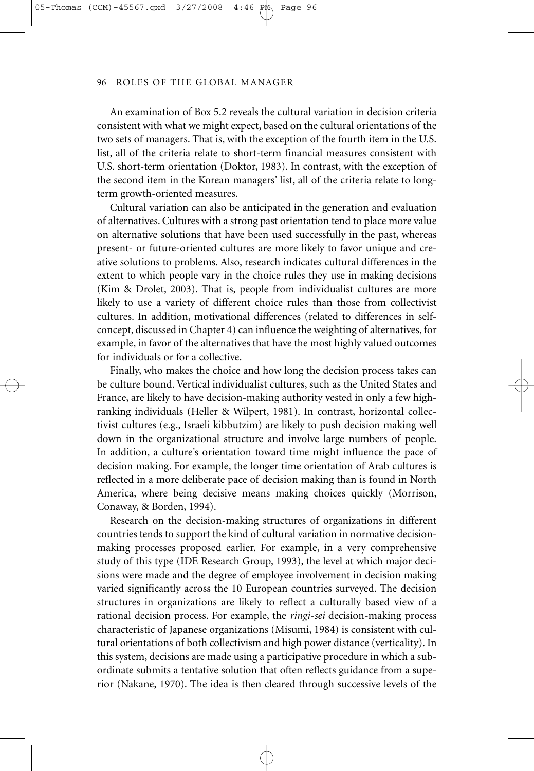An examination of Box 5.2 reveals the cultural variation in decision criteria consistent with what we might expect, based on the cultural orientations of the two sets of managers. That is, with the exception of the fourth item in the U.S. list, all of the criteria relate to short-term financial measures consistent with U.S. short-term orientation (Doktor, 1983). In contrast, with the exception of the second item in the Korean managers' list, all of the criteria relate to longterm growth-oriented measures.

Cultural variation can also be anticipated in the generation and evaluation of alternatives. Cultures with a strong past orientation tend to place more value on alternative solutions that have been used successfully in the past, whereas present- or future-oriented cultures are more likely to favor unique and creative solutions to problems. Also, research indicates cultural differences in the extent to which people vary in the choice rules they use in making decisions (Kim & Drolet, 2003). That is, people from individualist cultures are more likely to use a variety of different choice rules than those from collectivist cultures. In addition, motivational differences (related to differences in selfconcept, discussed in Chapter 4) can influence the weighting of alternatives, for example, in favor of the alternatives that have the most highly valued outcomes for individuals or for a collective.

Finally, who makes the choice and how long the decision process takes can be culture bound. Vertical individualist cultures, such as the United States and France, are likely to have decision-making authority vested in only a few highranking individuals (Heller & Wilpert, 1981). In contrast, horizontal collectivist cultures (e.g., Israeli kibbutzim) are likely to push decision making well down in the organizational structure and involve large numbers of people. In addition, a culture's orientation toward time might influence the pace of decision making. For example, the longer time orientation of Arab cultures is reflected in a more deliberate pace of decision making than is found in North America, where being decisive means making choices quickly (Morrison, Conaway, & Borden, 1994).

Research on the decision-making structures of organizations in different countries tends to support the kind of cultural variation in normative decisionmaking processes proposed earlier. For example, in a very comprehensive study of this type (IDE Research Group, 1993), the level at which major decisions were made and the degree of employee involvement in decision making varied significantly across the 10 European countries surveyed. The decision structures in organizations are likely to reflect a culturally based view of a rational decision process. For example, the *ringi-sei* decision-making process characteristic of Japanese organizations (Misumi, 1984) is consistent with cultural orientations of both collectivism and high power distance (verticality). In this system, decisions are made using a participative procedure in which a subordinate submits a tentative solution that often reflects guidance from a superior (Nakane, 1970). The idea is then cleared through successive levels of the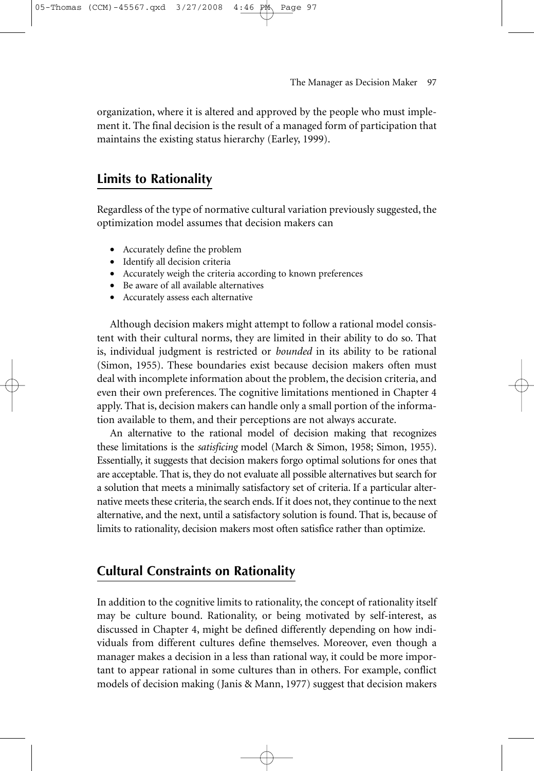organization, where it is altered and approved by the people who must implement it. The final decision is the result of a managed form of participation that maintains the existing status hierarchy (Earley, 1999).

# **Limits to Rationality**

Regardless of the type of normative cultural variation previously suggested, the optimization model assumes that decision makers can

- Accurately define the problem
- Identify all decision criteria
- Accurately weigh the criteria according to known preferences
- Be aware of all available alternatives
- Accurately assess each alternative

Although decision makers might attempt to follow a rational model consistent with their cultural norms, they are limited in their ability to do so. That is, individual judgment is restricted or *bounded* in its ability to be rational (Simon, 1955). These boundaries exist because decision makers often must deal with incomplete information about the problem, the decision criteria, and even their own preferences. The cognitive limitations mentioned in Chapter 4 apply. That is, decision makers can handle only a small portion of the information available to them, and their perceptions are not always accurate.

An alternative to the rational model of decision making that recognizes these limitations is the *satisficing* model (March & Simon, 1958; Simon, 1955). Essentially, it suggests that decision makers forgo optimal solutions for ones that are acceptable. That is, they do not evaluate all possible alternatives but search for a solution that meets a minimally satisfactory set of criteria. If a particular alternative meets these criteria, the search ends. If it does not, they continue to the next alternative, and the next, until a satisfactory solution is found. That is, because of limits to rationality, decision makers most often satisfice rather than optimize.

# **Cultural Constraints on Rationality**

In addition to the cognitive limits to rationality, the concept of rationality itself may be culture bound. Rationality, or being motivated by self-interest, as discussed in Chapter 4, might be defined differently depending on how individuals from different cultures define themselves. Moreover, even though a manager makes a decision in a less than rational way, it could be more important to appear rational in some cultures than in others. For example, conflict models of decision making (Janis & Mann, 1977) suggest that decision makers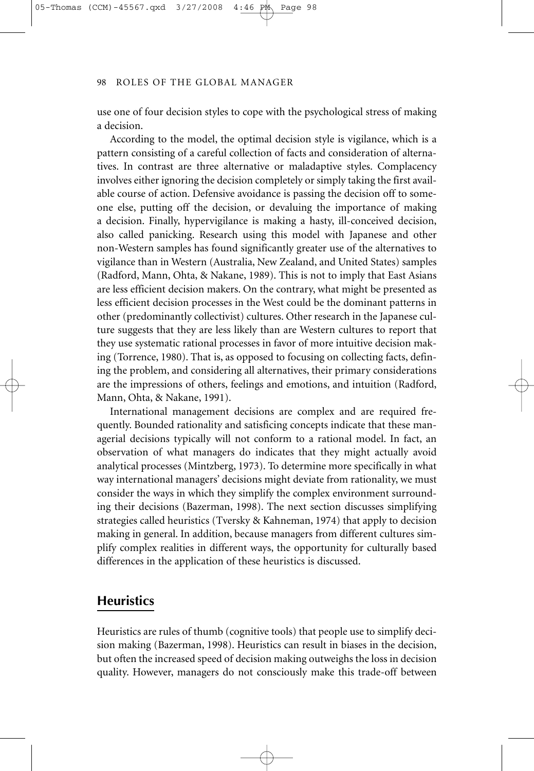use one of four decision styles to cope with the psychological stress of making a decision.

According to the model, the optimal decision style is vigilance, which is a pattern consisting of a careful collection of facts and consideration of alternatives. In contrast are three alternative or maladaptive styles. Complacency involves either ignoring the decision completely or simply taking the first available course of action. Defensive avoidance is passing the decision off to someone else, putting off the decision, or devaluing the importance of making a decision. Finally, hypervigilance is making a hasty, ill-conceived decision, also called panicking. Research using this model with Japanese and other non-Western samples has found significantly greater use of the alternatives to vigilance than in Western (Australia, New Zealand, and United States) samples (Radford, Mann, Ohta, & Nakane, 1989). This is not to imply that East Asians are less efficient decision makers. On the contrary, what might be presented as less efficient decision processes in the West could be the dominant patterns in other (predominantly collectivist) cultures. Other research in the Japanese culture suggests that they are less likely than are Western cultures to report that they use systematic rational processes in favor of more intuitive decision making (Torrence, 1980). That is, as opposed to focusing on collecting facts, defining the problem, and considering all alternatives, their primary considerations are the impressions of others, feelings and emotions, and intuition (Radford, Mann, Ohta, & Nakane, 1991).

International management decisions are complex and are required frequently. Bounded rationality and satisficing concepts indicate that these managerial decisions typically will not conform to a rational model. In fact, an observation of what managers do indicates that they might actually avoid analytical processes (Mintzberg, 1973). To determine more specifically in what way international managers' decisions might deviate from rationality, we must consider the ways in which they simplify the complex environment surrounding their decisions (Bazerman, 1998). The next section discusses simplifying strategies called heuristics (Tversky & Kahneman, 1974) that apply to decision making in general. In addition, because managers from different cultures simplify complex realities in different ways, the opportunity for culturally based differences in the application of these heuristics is discussed.

# **Heuristics**

Heuristics are rules of thumb (cognitive tools) that people use to simplify decision making (Bazerman, 1998). Heuristics can result in biases in the decision, but often the increased speed of decision making outweighs the loss in decision quality. However, managers do not consciously make this trade-off between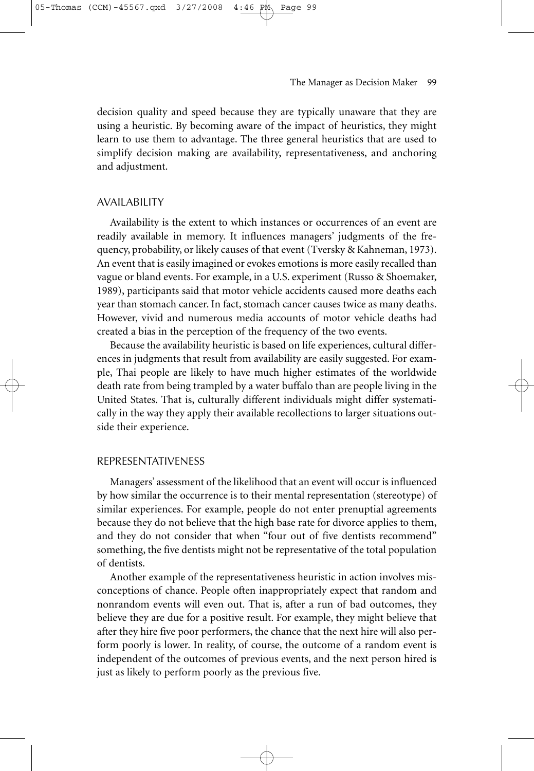decision quality and speed because they are typically unaware that they are using a heuristic. By becoming aware of the impact of heuristics, they might learn to use them to advantage. The three general heuristics that are used to simplify decision making are availability, representativeness, and anchoring and adjustment.

#### AVAILABILITY

Availability is the extent to which instances or occurrences of an event are readily available in memory. It influences managers' judgments of the frequency, probability, or likely causes of that event (Tversky & Kahneman, 1973). An event that is easily imagined or evokes emotions is more easily recalled than vague or bland events. For example, in a U.S. experiment (Russo & Shoemaker, 1989), participants said that motor vehicle accidents caused more deaths each year than stomach cancer. In fact, stomach cancer causes twice as many deaths. However, vivid and numerous media accounts of motor vehicle deaths had created a bias in the perception of the frequency of the two events.

Because the availability heuristic is based on life experiences, cultural differences in judgments that result from availability are easily suggested. For example, Thai people are likely to have much higher estimates of the worldwide death rate from being trampled by a water buffalo than are people living in the United States. That is, culturally different individuals might differ systematically in the way they apply their available recollections to larger situations outside their experience.

#### REPRESENTATIVENESS

Managers' assessment of the likelihood that an event will occur is influenced by how similar the occurrence is to their mental representation (stereotype) of similar experiences. For example, people do not enter prenuptial agreements because they do not believe that the high base rate for divorce applies to them, and they do not consider that when "four out of five dentists recommend" something, the five dentists might not be representative of the total population of dentists.

Another example of the representativeness heuristic in action involves misconceptions of chance. People often inappropriately expect that random and nonrandom events will even out. That is, after a run of bad outcomes, they believe they are due for a positive result. For example, they might believe that after they hire five poor performers, the chance that the next hire will also perform poorly is lower. In reality, of course, the outcome of a random event is independent of the outcomes of previous events, and the next person hired is just as likely to perform poorly as the previous five.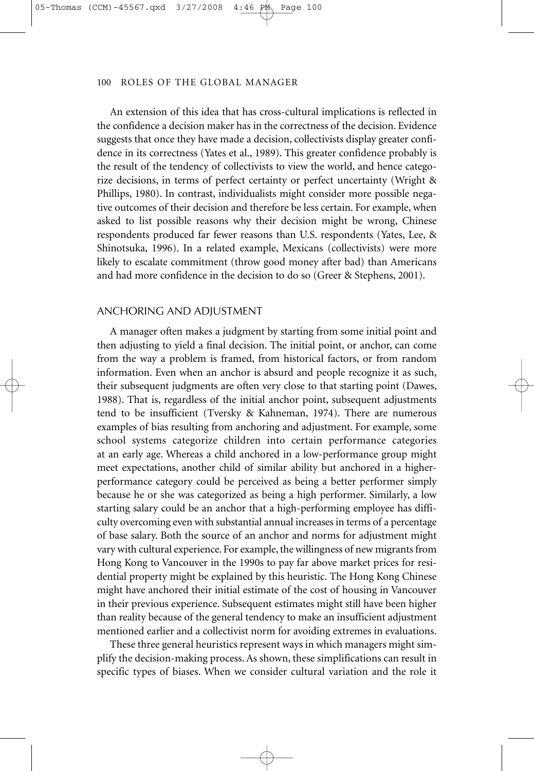An extension of this idea that has cross-cultural implications is reflected in the confidence a decision maker has in the correctness of the decision. Evidence suggests that once they have made a decision, collectivists display greater confidence in its correctness (Yates et al., 1989). This greater confidence probably is the result of the tendency of collectivists to view the world, and hence categorize decisions, in terms of perfect certainty or perfect uncertainty (Wright & Phillips, 1980). In contrast, individualists might consider more possible negative outcomes of their decision and therefore be less certain. For example, when asked to list possible reasons why their decision might be wrong, Chinese respondents produced far fewer reasons than U.S. respondents (Yates, Lee, & Shinotsuka, 1996). In a related example, Mexicans (collectivists) were more likely to escalate commitment (throw good money after bad) than Americans and had more confidence in the decision to do so (Greer & Stephens, 2001).

#### ANCHORING AND ADJUSTMENT

A manager often makes a judgment by starting from some initial point and then adjusting to yield a final decision. The initial point, or anchor, can come from the way a problem is framed, from historical factors, or from random information. Even when an anchor is absurd and people recognize it as such, their subsequent judgments are often very close to that starting point (Dawes, 1988). That is, regardless of the initial anchor point, subsequent adjustments tend to be insufficient (Tversky & Kahneman, 1974). There are numerous examples of bias resulting from anchoring and adjustment. For example, some school systems categorize children into certain performance categories at an early age. Whereas a child anchored in a low-performance group might meet expectations, another child of similar ability but anchored in a higherperformance category could be perceived as being a better performer simply because he or she was categorized as being a high performer. Similarly, a low starting salary could be an anchor that a high-performing employee has difficulty overcoming even with substantial annual increases in terms of a percentage of base salary. Both the source of an anchor and norms for adjustment might vary with cultural experience. For example, the willingness of new migrants from Hong Kong to Vancouver in the 1990s to pay far above market prices for residential property might be explained by this heuristic. The Hong Kong Chinese might have anchored their initial estimate of the cost of housing in Vancouver in their previous experience. Subsequent estimates might still have been higher than reality because of the general tendency to make an insufficient adjustment mentioned earlier and a collectivist norm for avoiding extremes in evaluations.

These three general heuristics represent ways in which managers might simplify the decision-making process. As shown, these simplifications can result in specific types of biases. When we consider cultural variation and the role it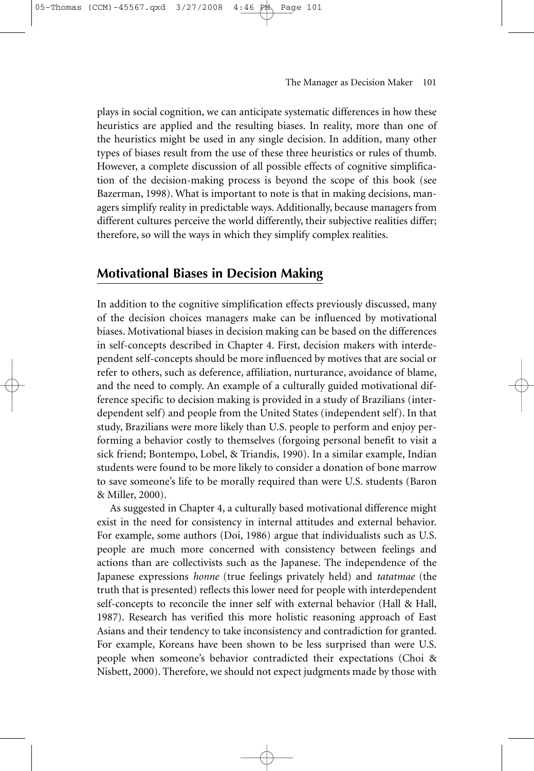plays in social cognition, we can anticipate systematic differences in how these heuristics are applied and the resulting biases. In reality, more than one of the heuristics might be used in any single decision. In addition, many other types of biases result from the use of these three heuristics or rules of thumb. However, a complete discussion of all possible effects of cognitive simplification of the decision-making process is beyond the scope of this book (see Bazerman, 1998). What is important to note is that in making decisions, managers simplify reality in predictable ways. Additionally, because managers from different cultures perceive the world differently, their subjective realities differ; therefore, so will the ways in which they simplify complex realities.

## **Motivational Biases in Decision Making**

In addition to the cognitive simplification effects previously discussed, many of the decision choices managers make can be influenced by motivational biases. Motivational biases in decision making can be based on the differences in self-concepts described in Chapter 4. First, decision makers with interdependent self-concepts should be more influenced by motives that are social or refer to others, such as deference, affiliation, nurturance, avoidance of blame, and the need to comply. An example of a culturally guided motivational difference specific to decision making is provided in a study of Brazilians (interdependent self) and people from the United States (independent self). In that study, Brazilians were more likely than U.S. people to perform and enjoy performing a behavior costly to themselves (forgoing personal benefit to visit a sick friend; Bontempo, Lobel, & Triandis, 1990). In a similar example, Indian students were found to be more likely to consider a donation of bone marrow to save someone's life to be morally required than were U.S. students (Baron & Miller, 2000).

As suggested in Chapter 4, a culturally based motivational difference might exist in the need for consistency in internal attitudes and external behavior. For example, some authors (Doi, 1986) argue that individualists such as U.S. people are much more concerned with consistency between feelings and actions than are collectivists such as the Japanese. The independence of the Japanese expressions *honne* (true feelings privately held) and *tatatmae* (the truth that is presented) reflects this lower need for people with interdependent self-concepts to reconcile the inner self with external behavior (Hall & Hall, 1987). Research has verified this more holistic reasoning approach of East Asians and their tendency to take inconsistency and contradiction for granted. For example, Koreans have been shown to be less surprised than were U.S. people when someone's behavior contradicted their expectations (Choi & Nisbett, 2000). Therefore, we should not expect judgments made by those with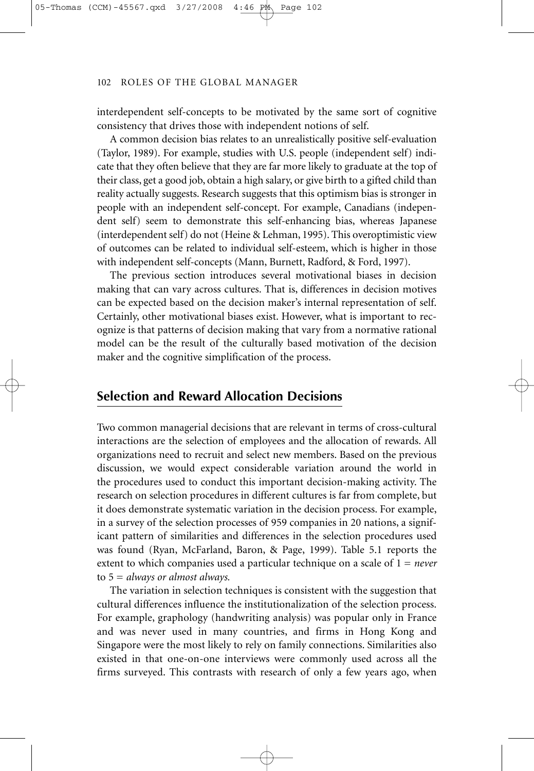interdependent self-concepts to be motivated by the same sort of cognitive consistency that drives those with independent notions of self.

A common decision bias relates to an unrealistically positive self-evaluation (Taylor, 1989). For example, studies with U.S. people (independent self) indicate that they often believe that they are far more likely to graduate at the top of their class, get a good job, obtain a high salary, or give birth to a gifted child than reality actually suggests. Research suggests that this optimism bias is stronger in people with an independent self-concept. For example, Canadians (independent self) seem to demonstrate this self-enhancing bias, whereas Japanese (interdependent self) do not (Heine & Lehman, 1995). This overoptimistic view of outcomes can be related to individual self-esteem, which is higher in those with independent self-concepts (Mann, Burnett, Radford, & Ford, 1997).

The previous section introduces several motivational biases in decision making that can vary across cultures. That is, differences in decision motives can be expected based on the decision maker's internal representation of self. Certainly, other motivational biases exist. However, what is important to recognize is that patterns of decision making that vary from a normative rational model can be the result of the culturally based motivation of the decision maker and the cognitive simplification of the process.

# **Selection and Reward Allocation Decisions**

Two common managerial decisions that are relevant in terms of cross-cultural interactions are the selection of employees and the allocation of rewards. All organizations need to recruit and select new members. Based on the previous discussion, we would expect considerable variation around the world in the procedures used to conduct this important decision-making activity. The research on selection procedures in different cultures is far from complete, but it does demonstrate systematic variation in the decision process. For example, in a survey of the selection processes of 959 companies in 20 nations, a significant pattern of similarities and differences in the selection procedures used was found (Ryan, McFarland, Baron, & Page, 1999). Table 5.1 reports the extent to which companies used a particular technique on a scale of 1 = *never* to 5 = *always or almost always.*

The variation in selection techniques is consistent with the suggestion that cultural differences influence the institutionalization of the selection process. For example, graphology (handwriting analysis) was popular only in France and was never used in many countries, and firms in Hong Kong and Singapore were the most likely to rely on family connections. Similarities also existed in that one-on-one interviews were commonly used across all the firms surveyed. This contrasts with research of only a few years ago, when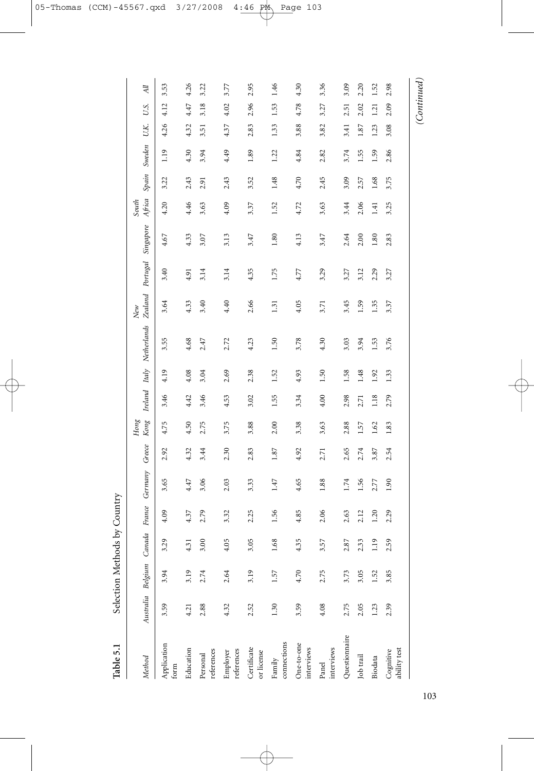| Table 5.1                 |      | Selection Meth    | nods by Country |      |         |        |      |         |      |                   |                  |      |                    |        |      |               |      |             |      |
|---------------------------|------|-------------------|-----------------|------|---------|--------|------|---------|------|-------------------|------------------|------|--------------------|--------|------|---------------|------|-------------|------|
| <b>Method</b>             |      | Australia Belgium | Canada France   |      |         | Greece | Hong | Ireland |      | Italy Netherlands | Zealand<br>$New$ |      |                    | South  |      | <b>Sweden</b> | U.K. | U.S.        | All  |
|                           |      |                   |                 |      | Germany |        | Kong |         |      |                   |                  |      | Portugal Singapore | Africa | Spin |               |      |             |      |
| Application<br>form       | 3.59 | 3.94              | 3.29            | 4.09 | 3.65    | 2.92   | 4.75 | 3.46    | 4.19 | 3.55              | 3.64             | 3.40 | 4.67               | 4.20   | 3.22 | 1.19          | 4.26 | 4.12        | 3.53 |
| Education                 | 4.21 | 3.19              | 4.31            | 4.37 | 4.47    | 4.32   | 4.50 | 4.42    | 4.08 | 4.68              | 4.33             | 4.91 | 4.33               | 4.46   | 2.43 | 4.30          | 4.32 | 4.47        | 4.26 |
| references<br>Personal    | 2.88 | 2.74              | 3.00            | 2.79 | 3.06    | 3.44   | 2.75 | 3.46    | 3.04 | 2.47              | 3.40             | 3.14 | 3.07               | 3.63   | 2.91 | 3.94          | 3.51 | 3.18        | 3.22 |
| references<br>Employer    | 4.32 | 2.64              | 4.05            | 3.32 | 2.03    | 2.30   | 3.75 | 4.53    | 2.69 | 2.72              | 4.40             | 3.14 | 3.13               | 4.09   | 2.43 | 4.49          | 4.37 | 4.02        | 3.77 |
| Certificate<br>or license | 2.52 | 3.19              | 3.05            | 2.25 | 3.33    | 2.83   | 3.88 | 3.02    | 2.38 | 4.23              | 2.66             | 4.35 | 3.47               | 3.37   | 3.52 | 1.89          | 2.83 | 2.96        | 2.95 |
| connections<br>Family     | 1.30 | 1.57              | 1.68            | 1.56 | 1.47    | 1.87   | 2.00 | 1.55    | 1.52 | 1.50              | 1.31             | 1.75 | 1.80               | 1.52   | 1.48 | 1.22          | 1.33 | 1.53        | 1.46 |
| One-to-one<br>interviews  | 3.59 | 4.70              | 4.35            | 4.85 | 4.65    | 4.92   | 3.38 | 3.34    | 4.93 | 3.78              | 4.05             | 4.77 | 4.13               | 4.72   | 4.70 | 4.84          | 3.88 | 4.78        | 4.30 |
| interviews<br>Panel       | 4.08 | 2.75              | 3.57            | 2.06 | 1.88    | 2.71   | 3.63 | 4.00    | 1.50 | 4.30              | 3.71             | 3.29 | 3.47               | 3.63   | 2.45 | 2.82          | 3.82 | 3.27        | 3.36 |
| Questionnaire             | 2.75 | 3.73              | 2.87            | 2.63 | 1.74    | 2.65   | 2.88 | 2.98    | 1.58 | 3.03              | 3.45             | 3.27 | 2.64               | 3.44   | 3.09 | 3.74          | 3.41 | 2.51        | 3.09 |
| Job trail                 | 2.05 | 3.05              | 2.33            | 2.12 | 1.56    | 2.74   | 1.57 | 2.71    | 1.48 | 3.94              | 1.59             | 3.12 | 2.00               | 2.06   | 2.57 | 1.55          | 1.87 | 2.02        | 2.20 |
| Biodata                   | 1.23 | 1.52              | 1.19            | 1.20 | 2.77    | 3.87   | 1.62 | 1.18    | 1.92 | 1.53              | 1.35             | 2.29 | 1.80               | 1.41   | 1.68 | 1.59          | 1.23 | 1.21        | 1.52 |
| ability test<br>Cognitive | 2.39 | 3.85              | 2.59            | 2.29 | 1.90    | 2.54   | 1.83 | 2.79    | 1.33 | 3.76              | 3.37             | 3.27 | 2.83               | 3.25   | 3.75 | 2.86          | 3.08 | 2.09        | 2.98 |
|                           |      |                   |                 |      |         |        |      |         |      |                   |                  |      |                    |        |      |               |      | (Continued, |      |

€

103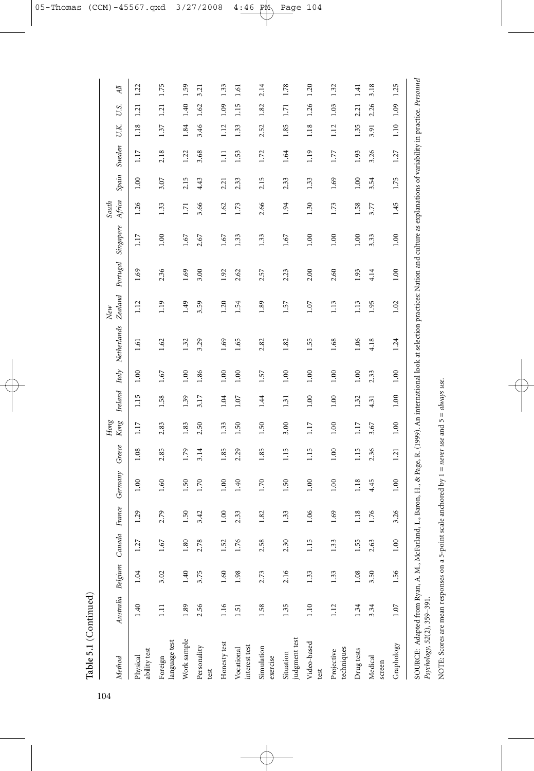| ۱      |  |
|--------|--|
| ï<br>į |  |

| <b>Method</b>               | Australia Belgium |      | Canada | France | Germany | GreeC | Kong<br>$Hong$ | Ireland |       | Italy Netherlands | Zealand<br>New | Portugal | Singapore | Africa<br>South | Spain | <b>Sweden</b> | U.K. | U.S. | All  |
|-----------------------------|-------------------|------|--------|--------|---------|-------|----------------|---------|-------|-------------------|----------------|----------|-----------|-----------------|-------|---------------|------|------|------|
| ability test<br>Physical    | 1.40              | 1.04 | 1.27   | 1.29   | 1.00    | 1.08  | 1.17           | 1.15    | 1.00  | 1.61              | 1.12           | 1.69     | 1.17      | 1.26            | 1.00  | 1.17          | 1.18 | 1.21 | 1.22 |
| language test<br>Foreign    | $\Xi$             | 3.02 | 1.67   | 2.79   | 1.60    | 2.85  | 2.83           | 1.58    | 1.67  | 1.62              | 1.19           | 2.36     | 1.00      | 1.33            | 3.07  | 2.18          | 1.37 | 1.21 | 1.75 |
| Work sample                 | 1.89              | 1.40 | 1.80   | 1.50   | 1.50    | 1.79  | 1.83           | 1.39    | 00.1  | 1.32              | 1.49           | 1.69     | 1.67      | 1.71            | 2.15  | 1.22          | 1.84 | 1.40 | 1.59 |
| Personality<br>test         | 2.56              | 3.75 | 2.78   | 3.42   | 1.70    | 3.14  | 2.50           | 3.17    | 1.86  | 3.29              | 3.59           | 3.00     | 2.67      | 3.66            | 4.43  | 3.68          | 3.46 | 1.62 | 3.21 |
| Honesty test                | 1.16              | 1.60 | 1.52   | 1.00   | 1.00    | 1.85  | 1.33           | 1.04    | 1.00  | 1.69              | 1.20           | 1.92     | 1.67      | 1.62            | 2.21  | $\Xi$         | 1.12 | 1.09 | 1.33 |
| interest test<br>Vocational | 1.51              | 1.98 | 1.76   | 2.33   | 1.40    | 2.29  | 1.50           | 1.07    | 0.01  | 1.65              | 1.54           | 2.62     | 1.33      | 1.73            | 2.33  | 1.53          | 1.33 | 1.15 | 1.61 |
| Simulation<br>exercise      | 1.58              | 2.73 | 2.58   | 1.82   | 1.70    | 1.85  | 1.50           | 1.44    | 1.57  | 2.82              | 1.89           | 2.57     | 1.33      | 2.66            | 2.15  | 1.72          | 2.52 | 1.82 | 2.14 |
| judgment test<br>Situation  | 1.35              | 2.16 | 2.30   | 1.33   | 1.50    | 1.15  | 3.00           | 1.31    | 1.00  | 1.82              | 1.57           | 2.23     | 1.67      | 1.94            | 2.33  | 1.64          | 1.85 | 1.71 | 1.78 |
| Video-based<br>test         | 1.10              | 1.33 | 1.15   | 1.06   | 1.00    | 1.15  | 1.17           | 1.00    | 1.00  | 1.55              | 1.07           | 2.00     | 1.00      | 1.30            | 1.33  | 1.19          | 1.18 | 1.26 | 1.20 |
| techniques<br>Projective    | 1.12              | 1.33 | 1.33   | 1.69   | 1.00    | 1.00  | 1.00           | 1.00    | 1.00  | 1.68              | 1.13           | 2.60     | 1.00      | 1.73            | 1.69  | 1.77          | 1.12 | 1.03 | 1.32 |
| Drug tests                  | 1.34              | 1.08 | 1.55   | 1.18   | 1.18    | 1.15  | 1.17           | 1.32    | 0.001 | 1.06              | 1.13           | 1.93     | 1.00      | 1.58            | 1.00  | 1.93          | 1.35 | 2.21 | 1.41 |
| Medical<br>screen           | 3.34              | 3.50 | 2.63   | 1.76   | 4.45    | 2.36  | 3.67           | 4.31    | 2.33  | 4.18              | 1.95           | 4.14     | 3.33      | 3.77            | 3.54  | 3.26          | 3.91 | 2.26 | 3.18 |
| Graphology                  | $1.07\,$          | 1.56 | 1.00   | 3.26   | 1.00    | 1.21  | 1.00           | 1.00    | 1.00  | 1.24              | 1.02           | 1.00     | 1.00      | 1.45            | 1.75  | 1.27          | 1.10 | 1.09 | 1.25 |

 $\oplus$ 

NOTE: Scores are mean responses on a 5-point scale anchored by 1 = *never use* and 5 = *always use.*

NOTE: Scores are mean responses on a 5-point scale andhored by  $1$  = never use and  $5$  = always use.

05-Thomas (CCM)-45567.qxd 3/27/2008 4:46 PM Page 104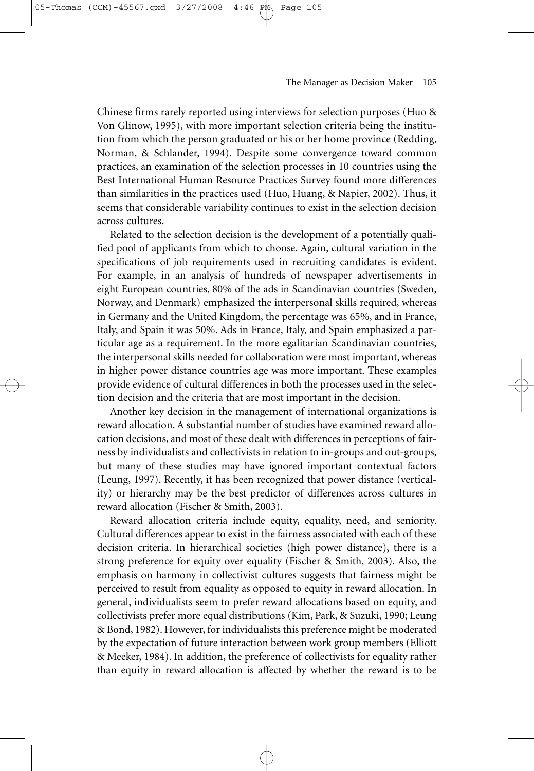Chinese firms rarely reported using interviews for selection purposes (Huo & Von Glinow, 1995), with more important selection criteria being the institution from which the person graduated or his or her home province (Redding, Norman, & Schlander, 1994). Despite some convergence toward common practices, an examination of the selection processes in 10 countries using the Best International Human Resource Practices Survey found more differences than similarities in the practices used (Huo, Huang, & Napier, 2002). Thus, it seems that considerable variability continues to exist in the selection decision across cultures.

Related to the selection decision is the development of a potentially qualified pool of applicants from which to choose. Again, cultural variation in the specifications of job requirements used in recruiting candidates is evident. For example, in an analysis of hundreds of newspaper advertisements in eight European countries, 80% of the ads in Scandinavian countries (Sweden, Norway, and Denmark) emphasized the interpersonal skills required, whereas in Germany and the United Kingdom, the percentage was 65%, and in France, Italy, and Spain it was 50%. Ads in France, Italy, and Spain emphasized a particular age as a requirement. In the more egalitarian Scandinavian countries, the interpersonal skills needed for collaboration were most important, whereas in higher power distance countries age was more important. These examples provide evidence of cultural differences in both the processes used in the selection decision and the criteria that are most important in the decision.

Another key decision in the management of international organizations is reward allocation. A substantial number of studies have examined reward allocation decisions, and most of these dealt with differences in perceptions of fairness by individualists and collectivists in relation to in-groups and out-groups, but many of these studies may have ignored important contextual factors (Leung, 1997). Recently, it has been recognized that power distance (verticality) or hierarchy may be the best predictor of differences across cultures in reward allocation (Fischer & Smith, 2003).

Reward allocation criteria include equity, equality, need, and seniority. Cultural differences appear to exist in the fairness associated with each of these decision criteria. In hierarchical societies (high power distance), there is a strong preference for equity over equality (Fischer & Smith, 2003). Also, the emphasis on harmony in collectivist cultures suggests that fairness might be perceived to result from equality as opposed to equity in reward allocation. In general, individualists seem to prefer reward allocations based on equity, and collectivists prefer more equal distributions (Kim, Park, & Suzuki, 1990; Leung & Bond, 1982). However, for individualists this preference might be moderated by the expectation of future interaction between work group members (Elliott & Meeker, 1984). In addition, the preference of collectivists for equality rather than equity in reward allocation is affected by whether the reward is to be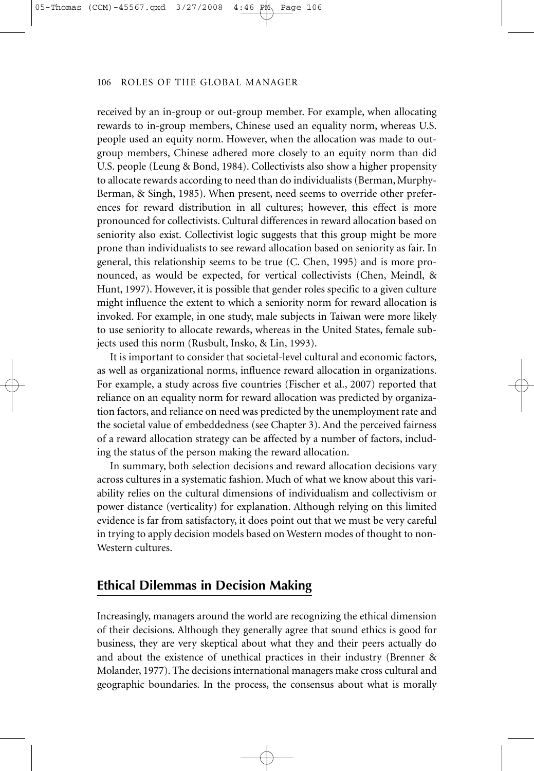received by an in-group or out-group member. For example, when allocating rewards to in-group members, Chinese used an equality norm, whereas U.S. people used an equity norm. However, when the allocation was made to outgroup members, Chinese adhered more closely to an equity norm than did U.S. people (Leung & Bond, 1984). Collectivists also show a higher propensity to allocate rewards according to need than do individualists (Berman, Murphy-Berman, & Singh, 1985). When present, need seems to override other preferences for reward distribution in all cultures; however, this effect is more pronounced for collectivists. Cultural differences in reward allocation based on seniority also exist. Collectivist logic suggests that this group might be more prone than individualists to see reward allocation based on seniority as fair. In general, this relationship seems to be true (C. Chen, 1995) and is more pronounced, as would be expected, for vertical collectivists (Chen, Meindl, & Hunt, 1997). However, it is possible that gender roles specific to a given culture might influence the extent to which a seniority norm for reward allocation is invoked. For example, in one study, male subjects in Taiwan were more likely to use seniority to allocate rewards, whereas in the United States, female subjects used this norm (Rusbult, Insko, & Lin, 1993).

It is important to consider that societal-level cultural and economic factors, as well as organizational norms, influence reward allocation in organizations. For example, a study across five countries (Fischer et al., 2007) reported that reliance on an equality norm for reward allocation was predicted by organization factors, and reliance on need was predicted by the unemployment rate and the societal value of embeddedness (see Chapter 3). And the perceived fairness of a reward allocation strategy can be affected by a number of factors, including the status of the person making the reward allocation.

In summary, both selection decisions and reward allocation decisions vary across cultures in a systematic fashion. Much of what we know about this variability relies on the cultural dimensions of individualism and collectivism or power distance (verticality) for explanation. Although relying on this limited evidence is far from satisfactory, it does point out that we must be very careful in trying to apply decision models based on Western modes of thought to non-Western cultures.

# **Ethical Dilemmas in Decision Making**

Increasingly, managers around the world are recognizing the ethical dimension of their decisions. Although they generally agree that sound ethics is good for business, they are very skeptical about what they and their peers actually do and about the existence of unethical practices in their industry (Brenner & Molander, 1977). The decisions international managers make cross cultural and geographic boundaries. In the process, the consensus about what is morally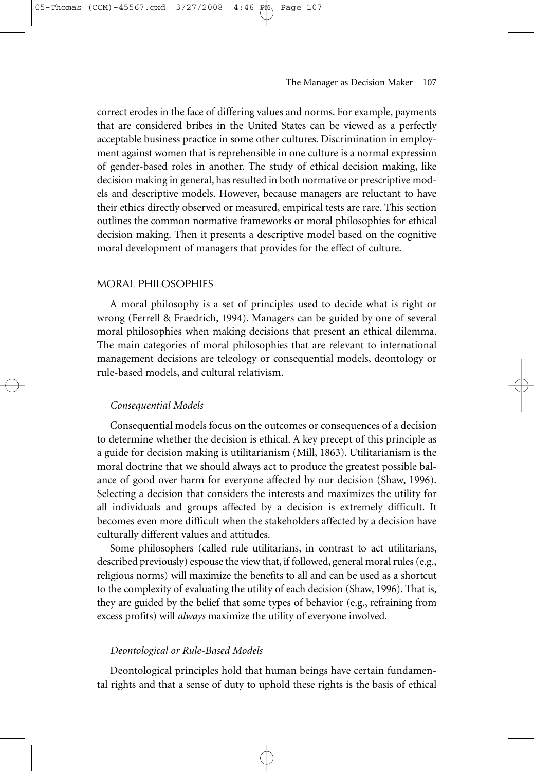correct erodes in the face of differing values and norms. For example, payments that are considered bribes in the United States can be viewed as a perfectly acceptable business practice in some other cultures. Discrimination in employment against women that is reprehensible in one culture is a normal expression of gender-based roles in another. The study of ethical decision making, like decision making in general, has resulted in both normative or prescriptive models and descriptive models. However, because managers are reluctant to have their ethics directly observed or measured, empirical tests are rare. This section outlines the common normative frameworks or moral philosophies for ethical decision making. Then it presents a descriptive model based on the cognitive moral development of managers that provides for the effect of culture.

#### MORAL PHILOSOPHIES

A moral philosophy is a set of principles used to decide what is right or wrong (Ferrell & Fraedrich, 1994). Managers can be guided by one of several moral philosophies when making decisions that present an ethical dilemma. The main categories of moral philosophies that are relevant to international management decisions are teleology or consequential models, deontology or rule-based models, and cultural relativism.

#### *Consequential Models*

Consequential models focus on the outcomes or consequences of a decision to determine whether the decision is ethical. A key precept of this principle as a guide for decision making is utilitarianism (Mill, 1863). Utilitarianism is the moral doctrine that we should always act to produce the greatest possible balance of good over harm for everyone affected by our decision (Shaw, 1996). Selecting a decision that considers the interests and maximizes the utility for all individuals and groups affected by a decision is extremely difficult. It becomes even more difficult when the stakeholders affected by a decision have culturally different values and attitudes.

Some philosophers (called rule utilitarians, in contrast to act utilitarians, described previously) espouse the view that, if followed, general moral rules (e.g., religious norms) will maximize the benefits to all and can be used as a shortcut to the complexity of evaluating the utility of each decision (Shaw, 1996). That is, they are guided by the belief that some types of behavior (e.g., refraining from excess profits) will *always* maximize the utility of everyone involved.

#### *Deontological or Rule-Based Models*

Deontological principles hold that human beings have certain fundamental rights and that a sense of duty to uphold these rights is the basis of ethical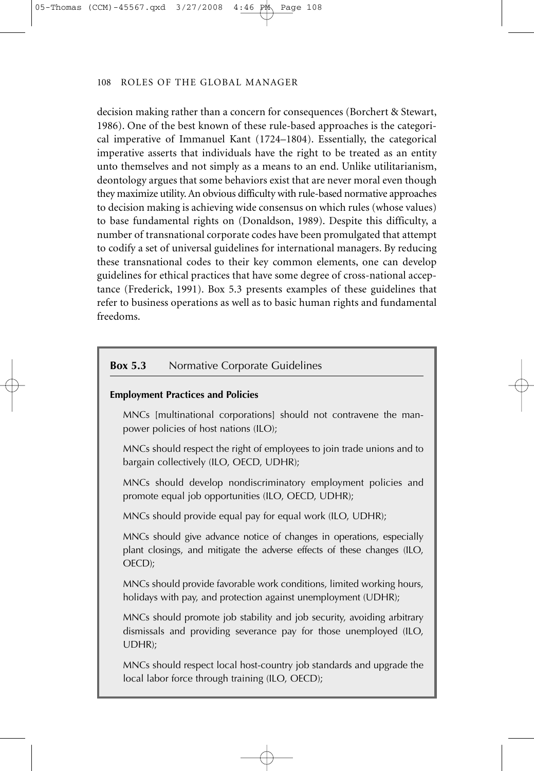decision making rather than a concern for consequences (Borchert & Stewart, 1986). One of the best known of these rule-based approaches is the categorical imperative of Immanuel Kant (1724–1804). Essentially, the categorical imperative asserts that individuals have the right to be treated as an entity unto themselves and not simply as a means to an end. Unlike utilitarianism, deontology argues that some behaviors exist that are never moral even though they maximize utility. An obvious difficulty with rule-based normative approaches to decision making is achieving wide consensus on which rules (whose values) to base fundamental rights on (Donaldson, 1989). Despite this difficulty, a number of transnational corporate codes have been promulgated that attempt to codify a set of universal guidelines for international managers. By reducing these transnational codes to their key common elements, one can develop guidelines for ethical practices that have some degree of cross-national acceptance (Frederick, 1991). Box 5.3 presents examples of these guidelines that refer to business operations as well as to basic human rights and fundamental freedoms.

#### **Box 5.3** Normative Corporate Guidelines

#### **Employment Practices and Policies**

MNCs [multinational corporations] should not contravene the manpower policies of host nations (ILO);

MNCs should respect the right of employees to join trade unions and to bargain collectively (ILO, OECD, UDHR);

MNCs should develop nondiscriminatory employment policies and promote equal job opportunities (ILO, OECD, UDHR);

MNCs should provide equal pay for equal work (ILO, UDHR);

MNCs should give advance notice of changes in operations, especially plant closings, and mitigate the adverse effects of these changes (ILO, OECD);

MNCs should provide favorable work conditions, limited working hours, holidays with pay, and protection against unemployment (UDHR);

MNCs should promote job stability and job security, avoiding arbitrary dismissals and providing severance pay for those unemployed (ILO, UDHR);

MNCs should respect local host-country job standards and upgrade the local labor force through training (ILO, OECD);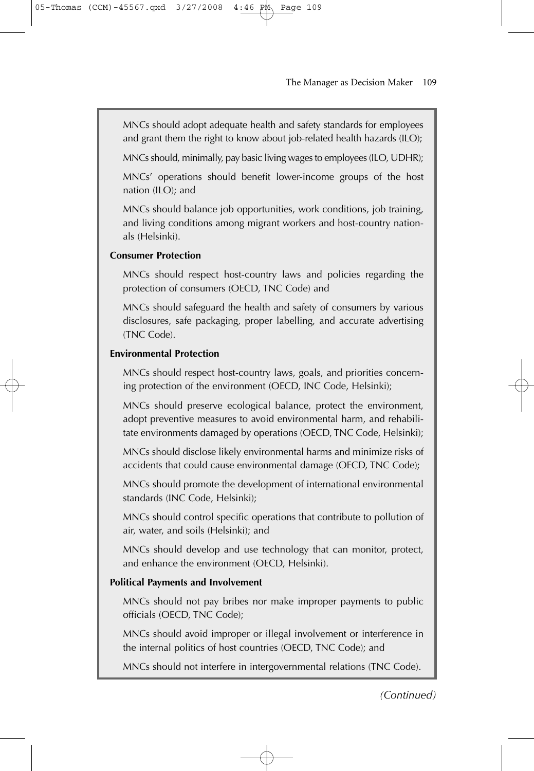MNCs should adopt adequate health and safety standards for employees and grant them the right to know about job-related health hazards (ILO);

MNCs should, minimally, pay basic living wages to employees (ILO, UDHR);

MNCs' operations should benefit lower-income groups of the host nation (ILO); and

MNCs should balance job opportunities, work conditions, job training, and living conditions among migrant workers and host-country nationals (Helsinki).

#### **Consumer Protection**

MNCs should respect host-country laws and policies regarding the protection of consumers (OECD, TNC Code) and

MNCs should safeguard the health and safety of consumers by various disclosures, safe packaging, proper labelling, and accurate advertising (TNC Code).

#### **Environmental Protection**

MNCs should respect host-country laws, goals, and priorities concerning protection of the environment (OECD, INC Code, Helsinki);

MNCs should preserve ecological balance, protect the environment, adopt preventive measures to avoid environmental harm, and rehabilitate environments damaged by operations (OECD, TNC Code, Helsinki);

MNCs should disclose likely environmental harms and minimize risks of accidents that could cause environmental damage (OECD, TNC Code);

MNCs should promote the development of international environmental standards (INC Code, Helsinki);

MNCs should control specific operations that contribute to pollution of air, water, and soils (Helsinki); and

MNCs should develop and use technology that can monitor, protect, and enhance the environment (OECD, Helsinki).

#### **Political Payments and Involvement**

MNCs should not pay bribes nor make improper payments to public officials (OECD, TNC Code);

MNCs should avoid improper or illegal involvement or interference in the internal politics of host countries (OECD, TNC Code); and

MNCs should not interfere in intergovernmental relations (TNC Code).

*(Continued)*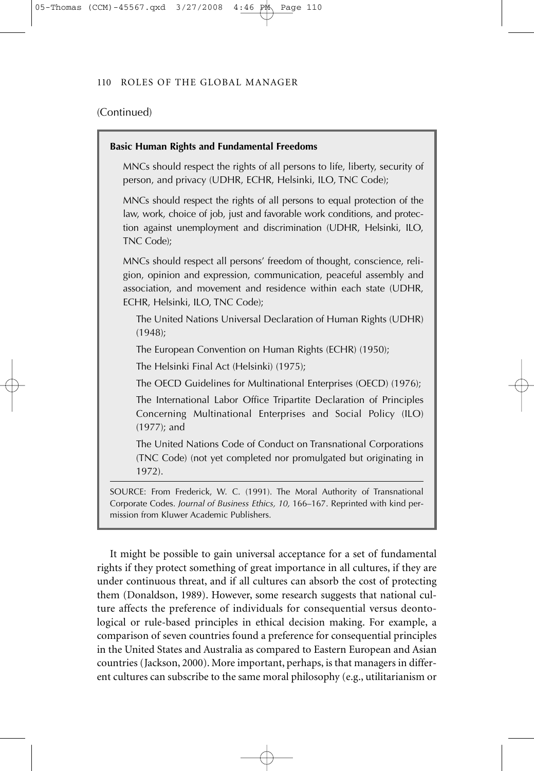#### (Continued)

#### **Basic Human Rights and Fundamental Freedoms**

MNCs should respect the rights of all persons to life, liberty, security of person, and privacy (UDHR, ECHR, Helsinki, ILO, TNC Code);

MNCs should respect the rights of all persons to equal protection of the law, work, choice of job, just and favorable work conditions, and protection against unemployment and discrimination (UDHR, Helsinki, ILO, TNC Code);

MNCs should respect all persons' freedom of thought, conscience, religion, opinion and expression, communication, peaceful assembly and association, and movement and residence within each state (UDHR, ECHR, Helsinki, ILO, TNC Code);

The United Nations Universal Declaration of Human Rights (UDHR) (1948);

The European Convention on Human Rights (ECHR) (1950);

The Helsinki Final Act (Helsinki) (1975);

The OECD Guidelines for Multinational Enterprises (OECD) (1976);

The International Labor Office Tripartite Declaration of Principles Concerning Multinational Enterprises and Social Policy (ILO) (1977); and

The United Nations Code of Conduct on Transnational Corporations (TNC Code) (not yet completed nor promulgated but originating in 1972).

SOURCE: From Frederick, W. C. (1991). The Moral Authority of Transnational Corporate Codes. *Journal of Business Ethics, 10,* 166–167. Reprinted with kind permission from Kluwer Academic Publishers.

It might be possible to gain universal acceptance for a set of fundamental rights if they protect something of great importance in all cultures, if they are under continuous threat, and if all cultures can absorb the cost of protecting them (Donaldson, 1989). However, some research suggests that national culture affects the preference of individuals for consequential versus deontological or rule-based principles in ethical decision making. For example, a comparison of seven countries found a preference for consequential principles in the United States and Australia as compared to Eastern European and Asian countries (Jackson, 2000). More important, perhaps, is that managers in different cultures can subscribe to the same moral philosophy (e.g., utilitarianism or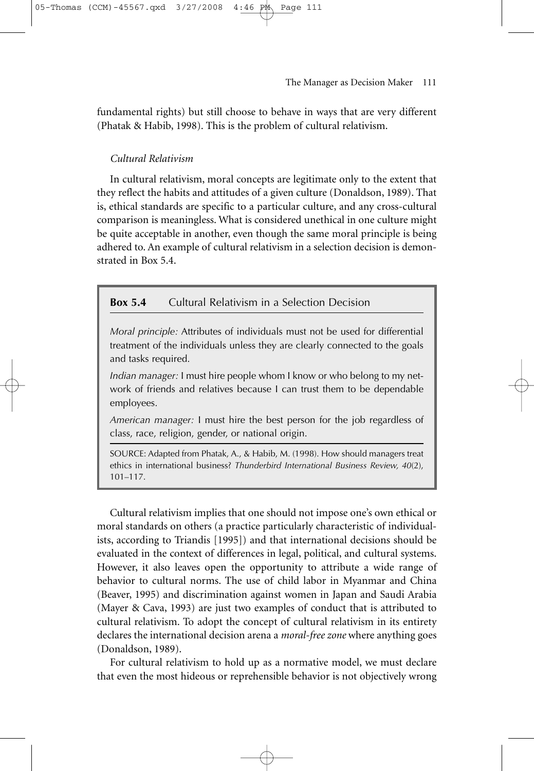fundamental rights) but still choose to behave in ways that are very different (Phatak & Habib, 1998). This is the problem of cultural relativism.

#### *Cultural Relativism*

In cultural relativism, moral concepts are legitimate only to the extent that they reflect the habits and attitudes of a given culture (Donaldson, 1989). That is, ethical standards are specific to a particular culture, and any cross-cultural comparison is meaningless. What is considered unethical in one culture might be quite acceptable in another, even though the same moral principle is being adhered to. An example of cultural relativism in a selection decision is demonstrated in Box 5.4.

#### **Box 5.4** Cultural Relativism in a Selection Decision

*Moral principle:* Attributes of individuals must not be used for differential treatment of the individuals unless they are clearly connected to the goals and tasks required.

*Indian manager:* I must hire people whom I know or who belong to my network of friends and relatives because I can trust them to be dependable employees.

*American manager:* I must hire the best person for the job regardless of class, race, religion, gender, or national origin.

SOURCE: Adapted from Phatak, A., & Habib, M. (1998). How should managers treat ethics in international business? *Thunderbird International Business Review, 40*(2), 101–117.

Cultural relativism implies that one should not impose one's own ethical or moral standards on others (a practice particularly characteristic of individualists, according to Triandis [1995]) and that international decisions should be evaluated in the context of differences in legal, political, and cultural systems. However, it also leaves open the opportunity to attribute a wide range of behavior to cultural norms. The use of child labor in Myanmar and China (Beaver, 1995) and discrimination against women in Japan and Saudi Arabia (Mayer & Cava, 1993) are just two examples of conduct that is attributed to cultural relativism. To adopt the concept of cultural relativism in its entirety declares the international decision arena a *moral-free zone* where anything goes (Donaldson, 1989).

For cultural relativism to hold up as a normative model, we must declare that even the most hideous or reprehensible behavior is not objectively wrong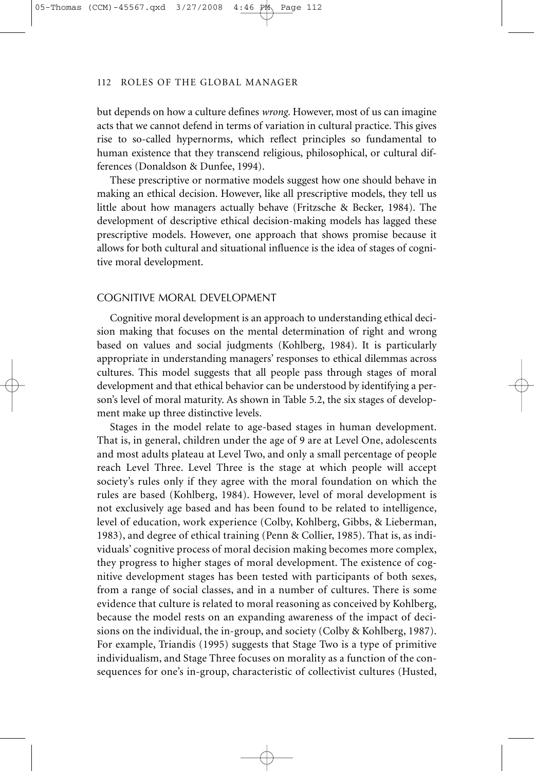but depends on how a culture defines *wrong.* However, most of us can imagine acts that we cannot defend in terms of variation in cultural practice. This gives rise to so-called hypernorms, which reflect principles so fundamental to human existence that they transcend religious, philosophical, or cultural differences (Donaldson & Dunfee, 1994).

These prescriptive or normative models suggest how one should behave in making an ethical decision. However, like all prescriptive models, they tell us little about how managers actually behave (Fritzsche & Becker, 1984). The development of descriptive ethical decision-making models has lagged these prescriptive models. However, one approach that shows promise because it allows for both cultural and situational influence is the idea of stages of cognitive moral development.

#### COGNITIVE MORAL DEVELOPMENT

Cognitive moral development is an approach to understanding ethical decision making that focuses on the mental determination of right and wrong based on values and social judgments (Kohlberg, 1984). It is particularly appropriate in understanding managers' responses to ethical dilemmas across cultures. This model suggests that all people pass through stages of moral development and that ethical behavior can be understood by identifying a person's level of moral maturity. As shown in Table 5.2, the six stages of development make up three distinctive levels.

Stages in the model relate to age-based stages in human development. That is, in general, children under the age of 9 are at Level One, adolescents and most adults plateau at Level Two, and only a small percentage of people reach Level Three. Level Three is the stage at which people will accept society's rules only if they agree with the moral foundation on which the rules are based (Kohlberg, 1984). However, level of moral development is not exclusively age based and has been found to be related to intelligence, level of education, work experience (Colby, Kohlberg, Gibbs, & Lieberman, 1983), and degree of ethical training (Penn & Collier, 1985). That is, as individuals' cognitive process of moral decision making becomes more complex, they progress to higher stages of moral development. The existence of cognitive development stages has been tested with participants of both sexes, from a range of social classes, and in a number of cultures. There is some evidence that culture is related to moral reasoning as conceived by Kohlberg, because the model rests on an expanding awareness of the impact of decisions on the individual, the in-group, and society (Colby & Kohlberg, 1987). For example, Triandis (1995) suggests that Stage Two is a type of primitive individualism, and Stage Three focuses on morality as a function of the consequences for one's in-group, characteristic of collectivist cultures (Husted,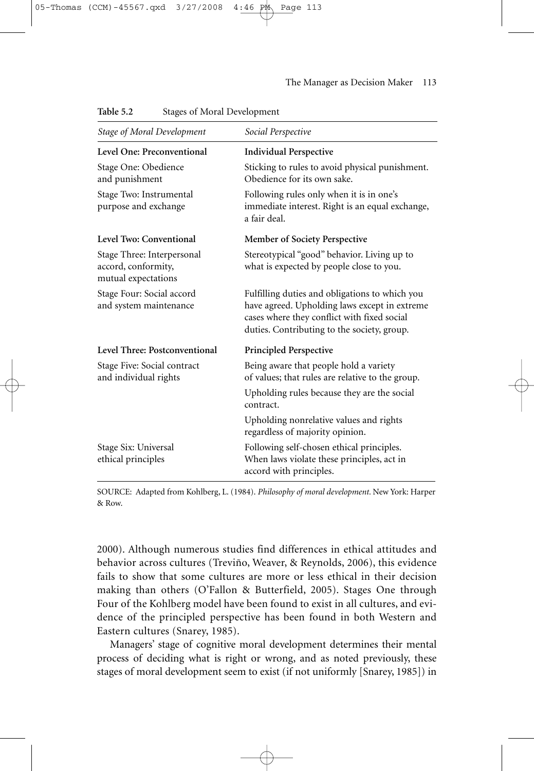# 05-Thomas (CCM)-45567.qxd 3/27/2008 4:46 PM Page 113

#### The Manager as Decision Maker—113

| <b>Stage of Moral Development</b>                                        | Social Perspective                                                                                                                                                                            |
|--------------------------------------------------------------------------|-----------------------------------------------------------------------------------------------------------------------------------------------------------------------------------------------|
| Level One: Preconventional                                               | <b>Individual Perspective</b>                                                                                                                                                                 |
| Stage One: Obedience<br>and punishment                                   | Sticking to rules to avoid physical punishment.<br>Obedience for its own sake.                                                                                                                |
| Stage Two: Instrumental<br>purpose and exchange                          | Following rules only when it is in one's<br>immediate interest. Right is an equal exchange,<br>a fair deal.                                                                                   |
| Level Two: Conventional                                                  | <b>Member of Society Perspective</b>                                                                                                                                                          |
| Stage Three: Interpersonal<br>accord, conformity,<br>mutual expectations | Stereotypical "good" behavior. Living up to<br>what is expected by people close to you.                                                                                                       |
| Stage Four: Social accord<br>and system maintenance                      | Fulfilling duties and obligations to which you<br>have agreed. Upholding laws except in extreme<br>cases where they conflict with fixed social<br>duties. Contributing to the society, group. |
| Level Three: Postconventional                                            | <b>Principled Perspective</b>                                                                                                                                                                 |
| Stage Five: Social contract<br>and individual rights                     | Being aware that people hold a variety<br>of values; that rules are relative to the group.                                                                                                    |
|                                                                          | Upholding rules because they are the social<br>contract.                                                                                                                                      |
|                                                                          | Upholding nonrelative values and rights<br>regardless of majority opinion.                                                                                                                    |
| Stage Six: Universal<br>ethical principles                               | Following self-chosen ethical principles.<br>When laws violate these principles, act in<br>accord with principles.                                                                            |

#### **Table 5.2** Stages of Moral Development

SOURCE: Adapted from Kohlberg, L. (1984). *Philosophy of moral development.* New York: Harper & Row.

2000). Although numerous studies find differences in ethical attitudes and behavior across cultures (Treviño, Weaver, & Reynolds, 2006), this evidence fails to show that some cultures are more or less ethical in their decision making than others (O'Fallon & Butterfield, 2005). Stages One through Four of the Kohlberg model have been found to exist in all cultures, and evidence of the principled perspective has been found in both Western and Eastern cultures (Snarey, 1985).

Managers' stage of cognitive moral development determines their mental process of deciding what is right or wrong, and as noted previously, these stages of moral development seem to exist (if not uniformly [Snarey, 1985]) in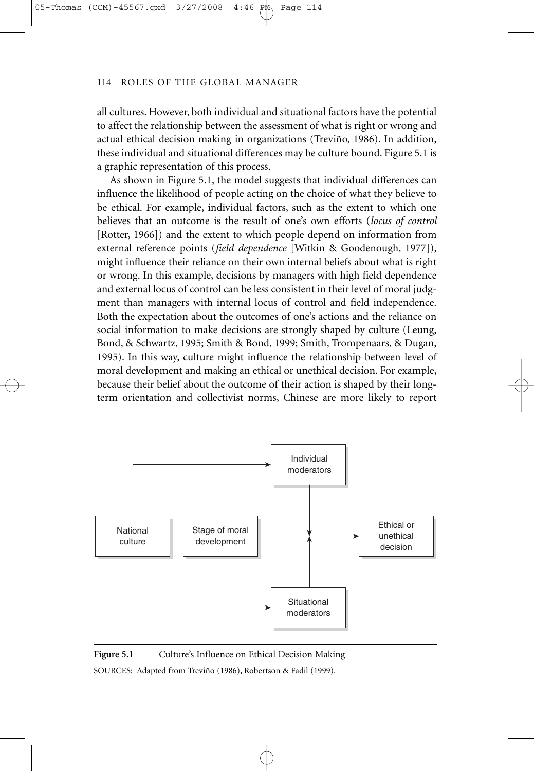all cultures. However, both individual and situational factors have the potential to affect the relationship between the assessment of what is right or wrong and actual ethical decision making in organizations (Treviño, 1986). In addition, these individual and situational differences may be culture bound. Figure 5.1 is a graphic representation of this process.

As shown in Figure 5.1, the model suggests that individual differences can influence the likelihood of people acting on the choice of what they believe to be ethical. For example, individual factors, such as the extent to which one believes that an outcome is the result of one's own efforts (*locus of control* [Rotter, 1966]) and the extent to which people depend on information from external reference points (*field dependence* [Witkin & Goodenough, 1977]), might influence their reliance on their own internal beliefs about what is right or wrong. In this example, decisions by managers with high field dependence and external locus of control can be less consistent in their level of moral judgment than managers with internal locus of control and field independence. Both the expectation about the outcomes of one's actions and the reliance on social information to make decisions are strongly shaped by culture (Leung, Bond, & Schwartz, 1995; Smith & Bond, 1999; Smith, Trompenaars, & Dugan, 1995). In this way, culture might influence the relationship between level of moral development and making an ethical or unethical decision. For example, because their belief about the outcome of their action is shaped by their longterm orientation and collectivist norms, Chinese are more likely to report



**Figure 5.1** Culture's Influence on Ethical Decision Making SOURCES: Adapted from Treviño (1986), Robertson & Fadil (1999).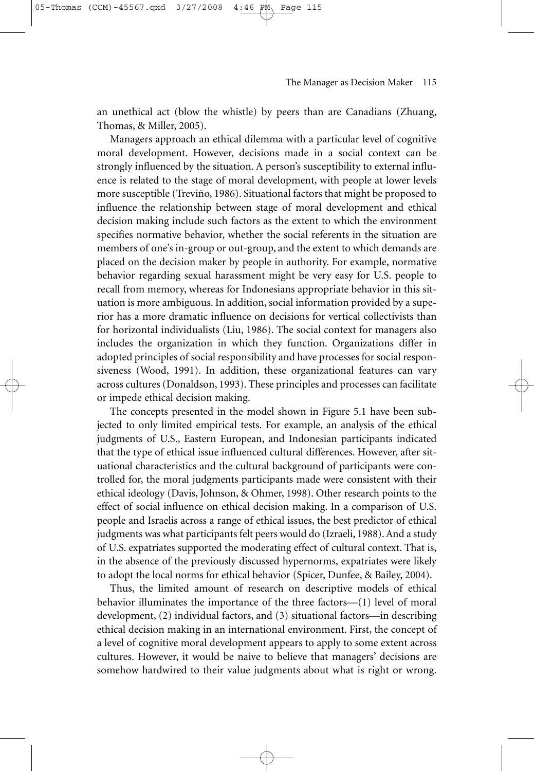an unethical act (blow the whistle) by peers than are Canadians (Zhuang, Thomas, & Miller, 2005).

Managers approach an ethical dilemma with a particular level of cognitive moral development. However, decisions made in a social context can be strongly influenced by the situation. A person's susceptibility to external influence is related to the stage of moral development, with people at lower levels more susceptible (Treviño, 1986). Situational factors that might be proposed to influence the relationship between stage of moral development and ethical decision making include such factors as the extent to which the environment specifies normative behavior, whether the social referents in the situation are members of one's in-group or out-group, and the extent to which demands are placed on the decision maker by people in authority. For example, normative behavior regarding sexual harassment might be very easy for U.S. people to recall from memory, whereas for Indonesians appropriate behavior in this situation is more ambiguous. In addition, social information provided by a superior has a more dramatic influence on decisions for vertical collectivists than for horizontal individualists (Liu, 1986). The social context for managers also includes the organization in which they function. Organizations differ in adopted principles of social responsibility and have processes for social responsiveness (Wood, 1991). In addition, these organizational features can vary across cultures (Donaldson, 1993). These principles and processes can facilitate or impede ethical decision making.

The concepts presented in the model shown in Figure 5.1 have been subjected to only limited empirical tests. For example, an analysis of the ethical judgments of U.S., Eastern European, and Indonesian participants indicated that the type of ethical issue influenced cultural differences. However, after situational characteristics and the cultural background of participants were controlled for, the moral judgments participants made were consistent with their ethical ideology (Davis, Johnson, & Ohmer, 1998). Other research points to the effect of social influence on ethical decision making. In a comparison of U.S. people and Israelis across a range of ethical issues, the best predictor of ethical judgments was what participants felt peers would do (Izraeli, 1988). And a study of U.S. expatriates supported the moderating effect of cultural context. That is, in the absence of the previously discussed hypernorms, expatriates were likely to adopt the local norms for ethical behavior (Spicer, Dunfee, & Bailey, 2004).

Thus, the limited amount of research on descriptive models of ethical behavior illuminates the importance of the three factors—(1) level of moral development, (2) individual factors, and (3) situational factors—in describing ethical decision making in an international environment. First, the concept of a level of cognitive moral development appears to apply to some extent across cultures. However, it would be naive to believe that managers' decisions are somehow hardwired to their value judgments about what is right or wrong.